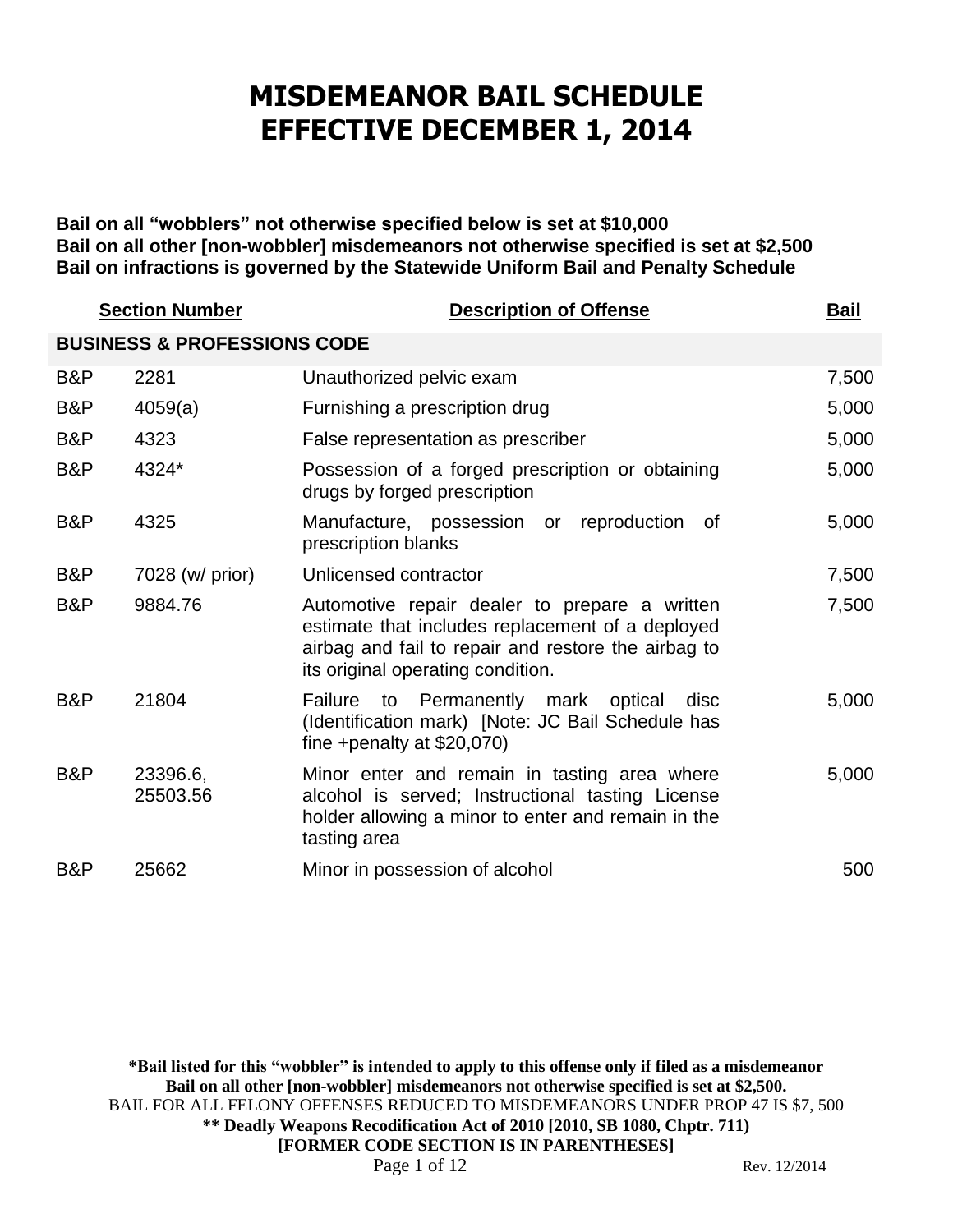# **MISDEMEANOR BAIL SCHEDULE EFFECTIVE DECEMBER 1, 2014**

**Bail on all "wobblers" not otherwise specified below is set at \$10,000 Bail on all other [non-wobbler] misdemeanors not otherwise specified is set at \$2,500 Bail on infractions is governed by the Statewide Uniform Bail and Penalty Schedule**

|     | <b>Section Number</b>                  | <b>Description of Offense</b>                                                                                                                                                                 | <b>Bail</b> |
|-----|----------------------------------------|-----------------------------------------------------------------------------------------------------------------------------------------------------------------------------------------------|-------------|
|     | <b>BUSINESS &amp; PROFESSIONS CODE</b> |                                                                                                                                                                                               |             |
| B&P | 2281                                   | Unauthorized pelvic exam                                                                                                                                                                      | 7,500       |
| B&P | 4059(a)                                | Furnishing a prescription drug                                                                                                                                                                | 5,000       |
| B&P | 4323                                   | False representation as prescriber                                                                                                                                                            | 5,000       |
| B&P | 4324*                                  | Possession of a forged prescription or obtaining<br>drugs by forged prescription                                                                                                              | 5,000       |
| B&P | 4325                                   | Manufacture, possession or reproduction of<br>prescription blanks                                                                                                                             | 5,000       |
| B&P | 7028 (w/ prior)                        | Unlicensed contractor                                                                                                                                                                         | 7,500       |
| B&P | 9884.76                                | Automotive repair dealer to prepare a written<br>estimate that includes replacement of a deployed<br>airbag and fail to repair and restore the airbag to<br>its original operating condition. | 7,500       |
| B&P | 21804                                  | to Permanently mark optical<br><b>Failure</b><br>disc<br>(Identification mark) [Note: JC Bail Schedule has<br>fine +penalty at $$20,070$ )                                                    | 5,000       |
| B&P | 23396.6,<br>25503.56                   | Minor enter and remain in tasting area where<br>alcohol is served; Instructional tasting License<br>holder allowing a minor to enter and remain in the<br>tasting area                        | 5,000       |
| B&P | 25662                                  | Minor in possession of alcohol                                                                                                                                                                | 500         |

**\*Bail listed for this "wobbler" is intended to apply to this offense only if filed as a misdemeanor Bail on all other [non-wobbler] misdemeanors not otherwise specified is set at \$2,500.** BAIL FOR ALL FELONY OFFENSES REDUCED TO MISDEMEANORS UNDER PROP 47 IS \$7, 500 **\*\* Deadly Weapons Recodification Act of 2010 [2010, SB 1080, Chptr. 711) [FORMER CODE SECTION IS IN PARENTHESES]** Page 1 of 12 Rev. 12/2014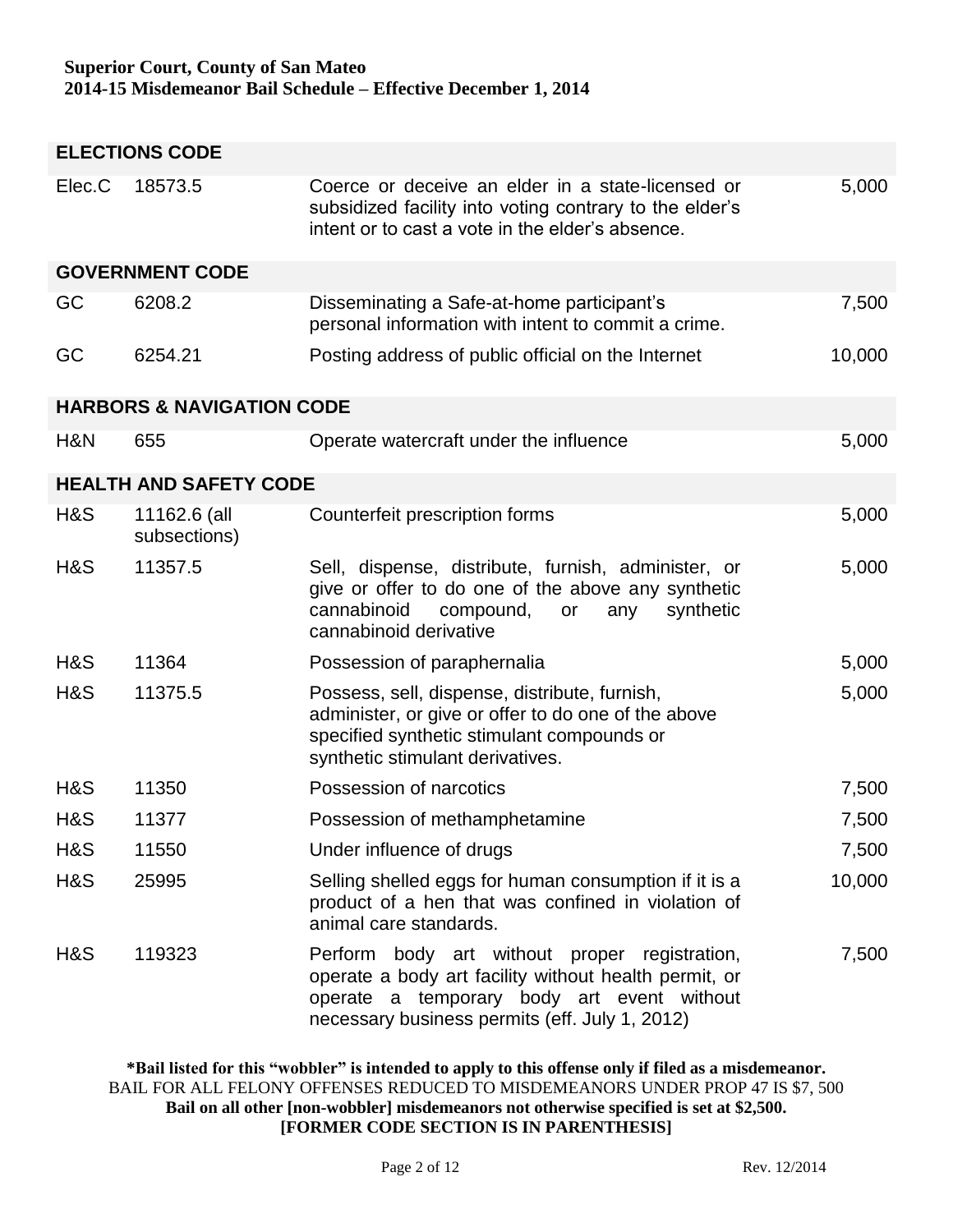|        | <b>ELECTIONS CODE</b>                |                                                                                                                                                                                                        |        |  |  |
|--------|--------------------------------------|--------------------------------------------------------------------------------------------------------------------------------------------------------------------------------------------------------|--------|--|--|
| Elec.C | 18573.5                              | Coerce or deceive an elder in a state-licensed or<br>subsidized facility into voting contrary to the elder's<br>intent or to cast a vote in the elder's absence.                                       | 5,000  |  |  |
|        | <b>GOVERNMENT CODE</b>               |                                                                                                                                                                                                        |        |  |  |
| GC     | 6208.2                               | Disseminating a Safe-at-home participant's<br>personal information with intent to commit a crime.                                                                                                      | 7,500  |  |  |
| GC     | 6254.21                              | Posting address of public official on the Internet                                                                                                                                                     | 10,000 |  |  |
|        | <b>HARBORS &amp; NAVIGATION CODE</b> |                                                                                                                                                                                                        |        |  |  |
| H&N    | 655                                  | Operate watercraft under the influence                                                                                                                                                                 | 5,000  |  |  |
|        | <b>HEALTH AND SAFETY CODE</b>        |                                                                                                                                                                                                        |        |  |  |
| H&S    | 11162.6 (all<br>subsections)         | Counterfeit prescription forms                                                                                                                                                                         | 5,000  |  |  |
| H&S    | 11357.5                              | Sell, dispense, distribute, furnish, administer, or<br>give or offer to do one of the above any synthetic<br>cannabinoid<br>synthetic<br>compound,<br>any<br>or<br>cannabinoid derivative              | 5,000  |  |  |
| H&S    | 11364                                | Possession of paraphernalia                                                                                                                                                                            | 5,000  |  |  |
| H&S    | 11375.5                              | Possess, sell, dispense, distribute, furnish,<br>administer, or give or offer to do one of the above<br>specified synthetic stimulant compounds or<br>synthetic stimulant derivatives.                 | 5,000  |  |  |
| H&S    | 11350                                | Possession of narcotics                                                                                                                                                                                | 7,500  |  |  |
| H&S    | 11377                                | Possession of methamphetamine                                                                                                                                                                          | 7,500  |  |  |
| H&S    | 11550                                | Under influence of drugs                                                                                                                                                                               | 7,500  |  |  |
| H&S    | 25995                                | Selling shelled eggs for human consumption if it is a<br>product of a hen that was confined in violation of<br>animal care standards.                                                                  | 10,000 |  |  |
| H&S    | 119323                               | Perform body art without proper registration,<br>operate a body art facility without health permit, or<br>operate a temporary body art event without<br>necessary business permits (eff. July 1, 2012) | 7,500  |  |  |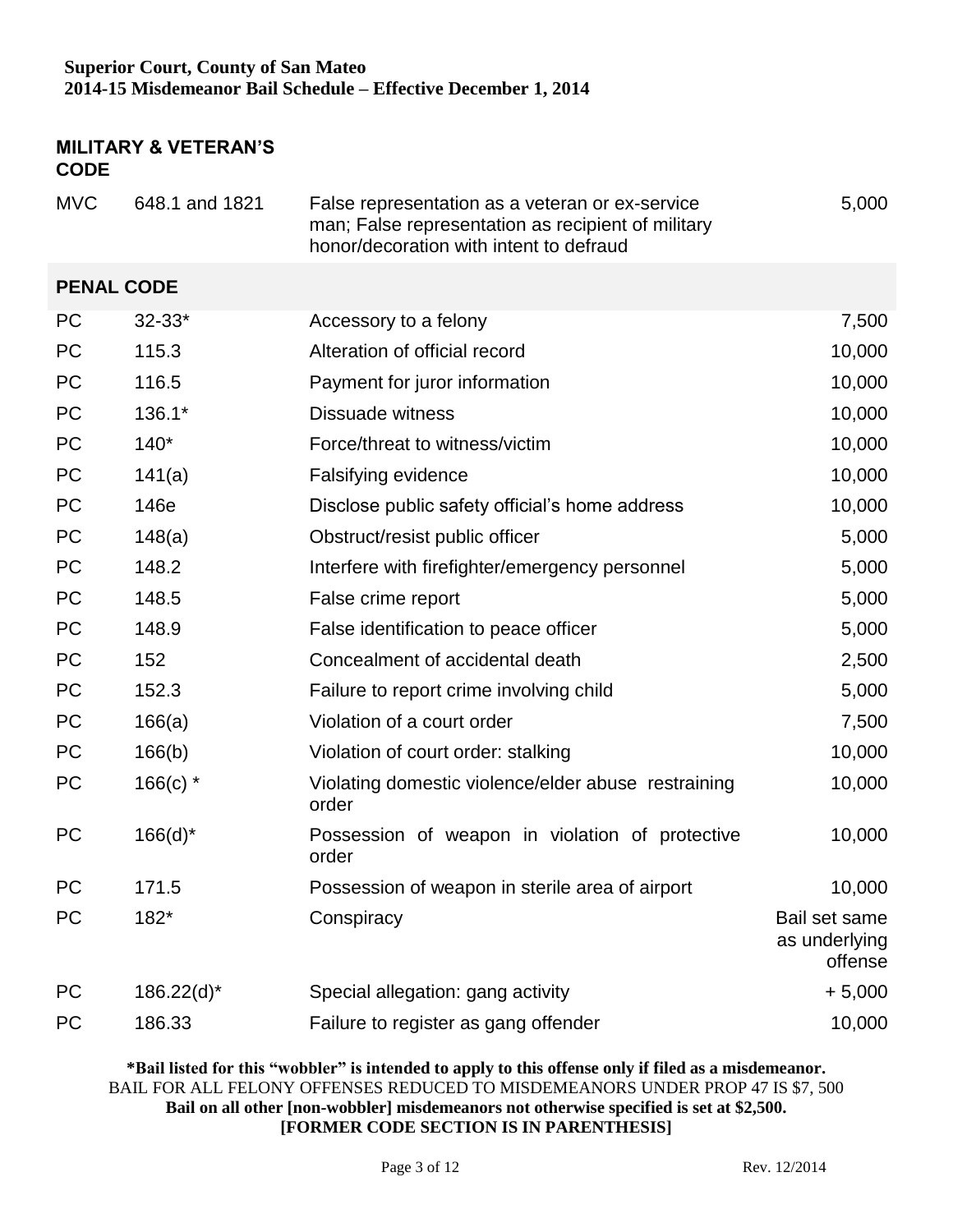## **MILITARY & VETERAN'S CODE**

| <b>MVC</b>        | 648.1 and 1821 | False representation as a veteran or ex-service<br>man; False representation as recipient of military<br>honor/decoration with intent to defraud | 5,000                                     |
|-------------------|----------------|--------------------------------------------------------------------------------------------------------------------------------------------------|-------------------------------------------|
| <b>PENAL CODE</b> |                |                                                                                                                                                  |                                           |
| <b>PC</b>         | $32 - 33*$     | Accessory to a felony                                                                                                                            | 7,500                                     |
| <b>PC</b>         | 115.3          | Alteration of official record                                                                                                                    | 10,000                                    |
| <b>PC</b>         | 116.5          | Payment for juror information                                                                                                                    | 10,000                                    |
| <b>PC</b>         | 136.1*         | <b>Dissuade witness</b>                                                                                                                          | 10,000                                    |
| <b>PC</b>         | $140*$         | Force/threat to witness/victim                                                                                                                   | 10,000                                    |
| <b>PC</b>         | 141(a)         | Falsifying evidence                                                                                                                              | 10,000                                    |
| <b>PC</b>         | 146e           | Disclose public safety official's home address                                                                                                   | 10,000                                    |
| PC                | 148(a)         | Obstruct/resist public officer                                                                                                                   | 5,000                                     |
| <b>PC</b>         | 148.2          | Interfere with firefighter/emergency personnel                                                                                                   | 5,000                                     |
| <b>PC</b>         | 148.5          | False crime report                                                                                                                               | 5,000                                     |
| <b>PC</b>         | 148.9          | False identification to peace officer                                                                                                            | 5,000                                     |
| <b>PC</b>         | 152            | Concealment of accidental death                                                                                                                  | 2,500                                     |
| <b>PC</b>         | 152.3          | Failure to report crime involving child                                                                                                          | 5,000                                     |
| <b>PC</b>         | 166(a)         | Violation of a court order                                                                                                                       | 7,500                                     |
| PC                | 166(b)         | Violation of court order: stalking                                                                                                               | 10,000                                    |
| <b>PC</b>         | $166(c)$ *     | Violating domestic violence/elder abuse restraining<br>order                                                                                     | 10,000                                    |
| <b>PC</b>         | $166(d)^*$     | Possession of weapon in violation of protective<br>order                                                                                         | 10,000                                    |
| PC                | 171.5          | Possession of weapon in sterile area of airport                                                                                                  | 10,000                                    |
| <b>PC</b>         | 182*           | Conspiracy                                                                                                                                       | Bail set same<br>as underlying<br>offense |
| <b>PC</b>         | $186.22(d)^*$  | Special allegation: gang activity                                                                                                                | $+5,000$                                  |
| PC                | 186.33         | Failure to register as gang offender                                                                                                             | 10,000                                    |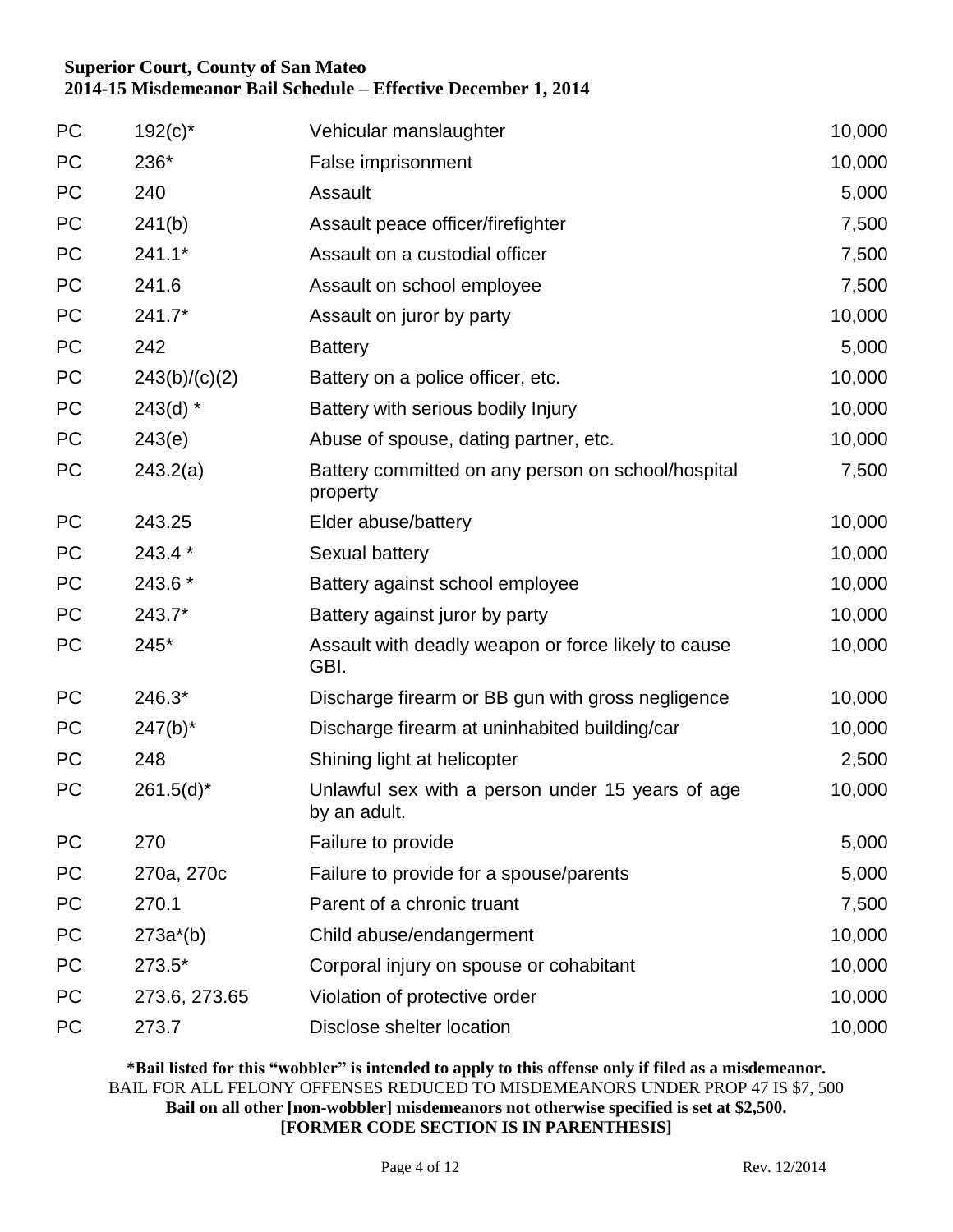| <b>PC</b> | $192(c)^{*}$  | Vehicular manslaughter                                           | 10,000 |
|-----------|---------------|------------------------------------------------------------------|--------|
| PC        | 236*          | False imprisonment                                               | 10,000 |
| <b>PC</b> | 240           | Assault                                                          | 5,000  |
| PC        | 241(b)        | Assault peace officer/firefighter                                | 7,500  |
| PC        | $241.1*$      | Assault on a custodial officer                                   | 7,500  |
| <b>PC</b> | 241.6         | Assault on school employee                                       | 7,500  |
| PC        | 241.7*        | Assault on juror by party                                        | 10,000 |
| PC        | 242           | <b>Battery</b>                                                   | 5,000  |
| <b>PC</b> | 243(b)/(c)(2) | Battery on a police officer, etc.                                | 10,000 |
| PC        | $243(d)$ *    | Battery with serious bodily Injury                               | 10,000 |
| PC        | 243(e)        | Abuse of spouse, dating partner, etc.                            | 10,000 |
| <b>PC</b> | 243.2(a)      | Battery committed on any person on school/hospital<br>property   | 7,500  |
| <b>PC</b> | 243.25        | Elder abuse/battery                                              | 10,000 |
| PC        | 243.4 *       | Sexual battery                                                   | 10,000 |
| <b>PC</b> | 243.6 *       | Battery against school employee                                  | 10,000 |
| PC        | 243.7*        | Battery against juror by party                                   | 10,000 |
| <b>PC</b> | 245*          | Assault with deadly weapon or force likely to cause<br>GBI.      | 10,000 |
| <b>PC</b> | 246.3*        | Discharge firearm or BB gun with gross negligence                | 10,000 |
| PC        | $247(b)^*$    | Discharge firearm at uninhabited building/car                    | 10,000 |
| <b>PC</b> | 248           | Shining light at helicopter                                      | 2,500  |
| <b>PC</b> | $261.5(d)^*$  | Unlawful sex with a person under 15 years of age<br>by an adult. | 10,000 |
| PC        | 270           | Failure to provide                                               | 5,000  |
| PC        | 270a, 270c    | Failure to provide for a spouse/parents                          | 5,000  |
| PC        | 270.1         | Parent of a chronic truant                                       | 7,500  |
| PC        | $273a^*(b)$   | Child abuse/endangerment                                         | 10,000 |
| <b>PC</b> | 273.5*        | Corporal injury on spouse or cohabitant                          | 10,000 |
| <b>PC</b> | 273.6, 273.65 | Violation of protective order                                    | 10,000 |
| <b>PC</b> | 273.7         | Disclose shelter location                                        | 10,000 |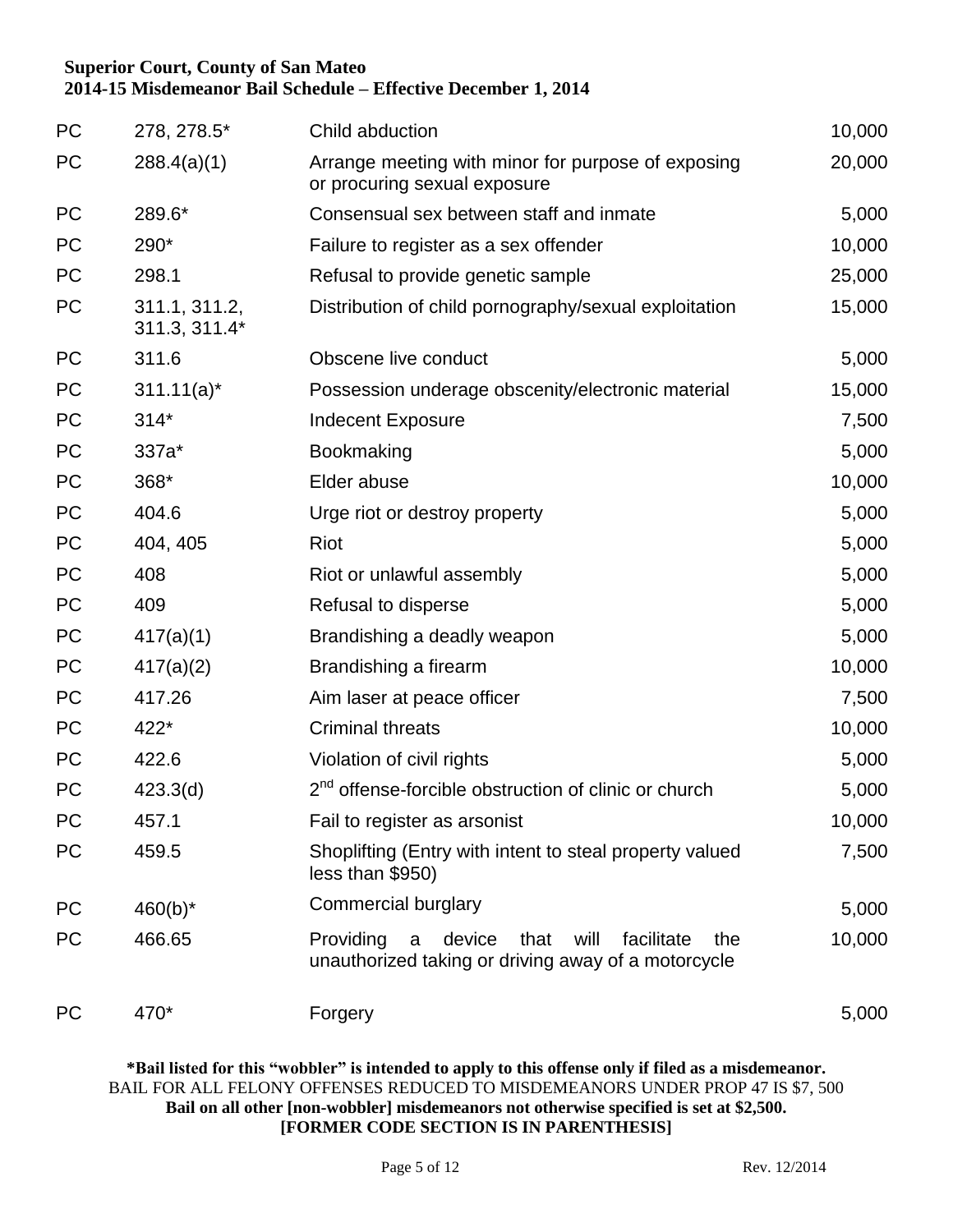| <b>PC</b> | 278, 278.5*                    | Child abduction                                                                                                      | 10,000 |
|-----------|--------------------------------|----------------------------------------------------------------------------------------------------------------------|--------|
| PC        | 288.4(a)(1)                    | Arrange meeting with minor for purpose of exposing<br>or procuring sexual exposure                                   | 20,000 |
| <b>PC</b> | 289.6*                         | Consensual sex between staff and inmate                                                                              | 5,000  |
| <b>PC</b> | 290*                           | Failure to register as a sex offender                                                                                | 10,000 |
| <b>PC</b> | 298.1                          | Refusal to provide genetic sample                                                                                    | 25,000 |
| <b>PC</b> | 311.1, 311.2,<br>311.3, 311.4* | Distribution of child pornography/sexual exploitation                                                                | 15,000 |
| <b>PC</b> | 311.6                          | Obscene live conduct                                                                                                 | 5,000  |
| PC        | $311.11(a)^*$                  | Possession underage obscenity/electronic material                                                                    | 15,000 |
| PC        | $314*$                         | <b>Indecent Exposure</b>                                                                                             | 7,500  |
| PC        | 337a*                          | Bookmaking                                                                                                           | 5,000  |
| PC        | 368*                           | Elder abuse                                                                                                          | 10,000 |
| PC        | 404.6                          | Urge riot or destroy property                                                                                        | 5,000  |
| PC        | 404, 405                       | <b>Riot</b>                                                                                                          | 5,000  |
| PC        | 408                            | Riot or unlawful assembly                                                                                            | 5,000  |
| PC        | 409                            | Refusal to disperse                                                                                                  | 5,000  |
| PC        | 417(a)(1)                      | Brandishing a deadly weapon                                                                                          | 5,000  |
| PC        | 417(a)(2)                      | Brandishing a firearm                                                                                                | 10,000 |
| PC        | 417.26                         | Aim laser at peace officer                                                                                           | 7,500  |
| PC        | 422*                           | <b>Criminal threats</b>                                                                                              | 10,000 |
| PC        | 422.6                          | Violation of civil rights                                                                                            | 5,000  |
| PC        | 423.3(d)                       | 2 <sup>nd</sup> offense-forcible obstruction of clinic or church                                                     | 5,000  |
| PC        | 457.1                          | Fail to register as arsonist                                                                                         | 10,000 |
| PC        | 459.5                          | Shoplifting (Entry with intent to steal property valued<br>less than \$950)                                          | 7,500  |
| <b>PC</b> | $460(b)^*$                     | Commercial burglary                                                                                                  | 5,000  |
| PC        | 466.65                         | Providing<br>device<br>facilitate<br>that<br>will<br>the<br>a<br>unauthorized taking or driving away of a motorcycle | 10,000 |
| <b>PC</b> | 470*                           | Forgery                                                                                                              | 5,000  |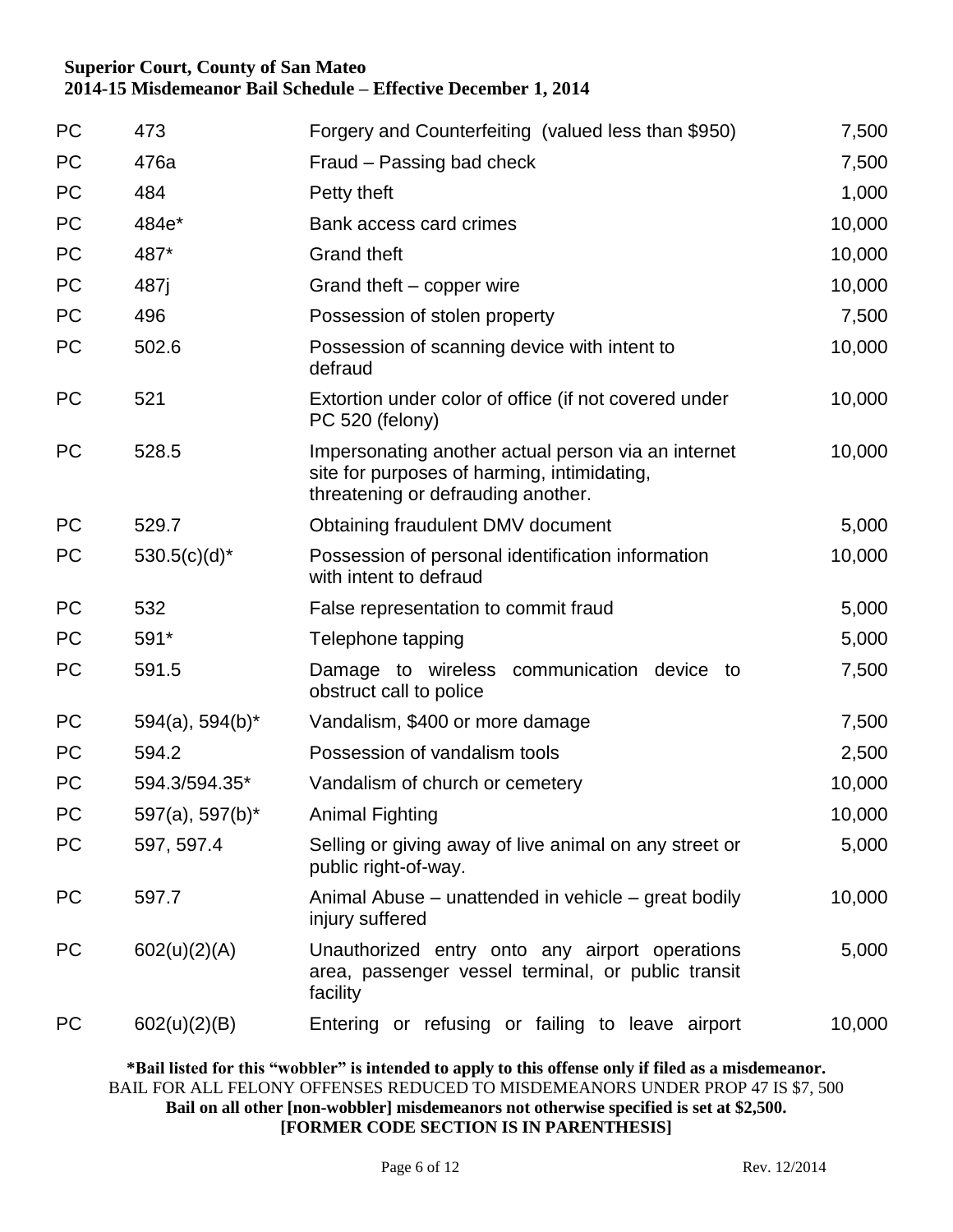| PC        | 473                   | Forgery and Counterfeiting (valued less than \$950)                                                                                      | 7,500  |
|-----------|-----------------------|------------------------------------------------------------------------------------------------------------------------------------------|--------|
| PC        | 476a                  | Fraud - Passing bad check                                                                                                                | 7,500  |
| <b>PC</b> | 484                   | Petty theft                                                                                                                              | 1,000  |
| PC        | 484e*                 | Bank access card crimes                                                                                                                  | 10,000 |
| PC        | 487*                  | <b>Grand theft</b>                                                                                                                       | 10,000 |
| <b>PC</b> | 487 <sub>i</sub>      | Grand theft - copper wire                                                                                                                | 10,000 |
| PC        | 496                   | Possession of stolen property                                                                                                            | 7,500  |
| <b>PC</b> | 502.6                 | Possession of scanning device with intent to<br>defraud                                                                                  | 10,000 |
| <b>PC</b> | 521                   | Extortion under color of office (if not covered under<br>PC 520 (felony)                                                                 | 10,000 |
| <b>PC</b> | 528.5                 | Impersonating another actual person via an internet<br>site for purposes of harming, intimidating,<br>threatening or defrauding another. | 10,000 |
| <b>PC</b> | 529.7                 | Obtaining fraudulent DMV document                                                                                                        | 5,000  |
| <b>PC</b> | $530.5(c)(d)^*$       | Possession of personal identification information<br>with intent to defraud                                                              | 10,000 |
| <b>PC</b> | 532                   | False representation to commit fraud                                                                                                     | 5,000  |
| <b>PC</b> | 591*                  | Telephone tapping                                                                                                                        | 5,000  |
| PC        | 591.5                 | Damage to wireless communication device to<br>obstruct call to police                                                                    | 7,500  |
| <b>PC</b> | $594(a)$ , $594(b)^*$ | Vandalism, \$400 or more damage                                                                                                          | 7,500  |
| <b>PC</b> | 594.2                 | Possession of vandalism tools                                                                                                            | 2,500  |
| <b>PC</b> | 594.3/594.35*         | Vandalism of church or cemetery                                                                                                          | 10,000 |
| PC        | 597(a), 597(b)*       | <b>Animal Fighting</b>                                                                                                                   | 10,000 |
| <b>PC</b> | 597, 597.4            | Selling or giving away of live animal on any street or<br>public right-of-way.                                                           | 5,000  |
| <b>PC</b> | 597.7                 | Animal Abuse – unattended in vehicle – great bodily<br>injury suffered                                                                   | 10,000 |
| <b>PC</b> | 602(u)(2)(A)          | Unauthorized entry onto any airport operations<br>area, passenger vessel terminal, or public transit<br>facility                         | 5,000  |
| <b>PC</b> | 602(u)(2)(B)          | Entering or refusing or failing to leave airport                                                                                         | 10,000 |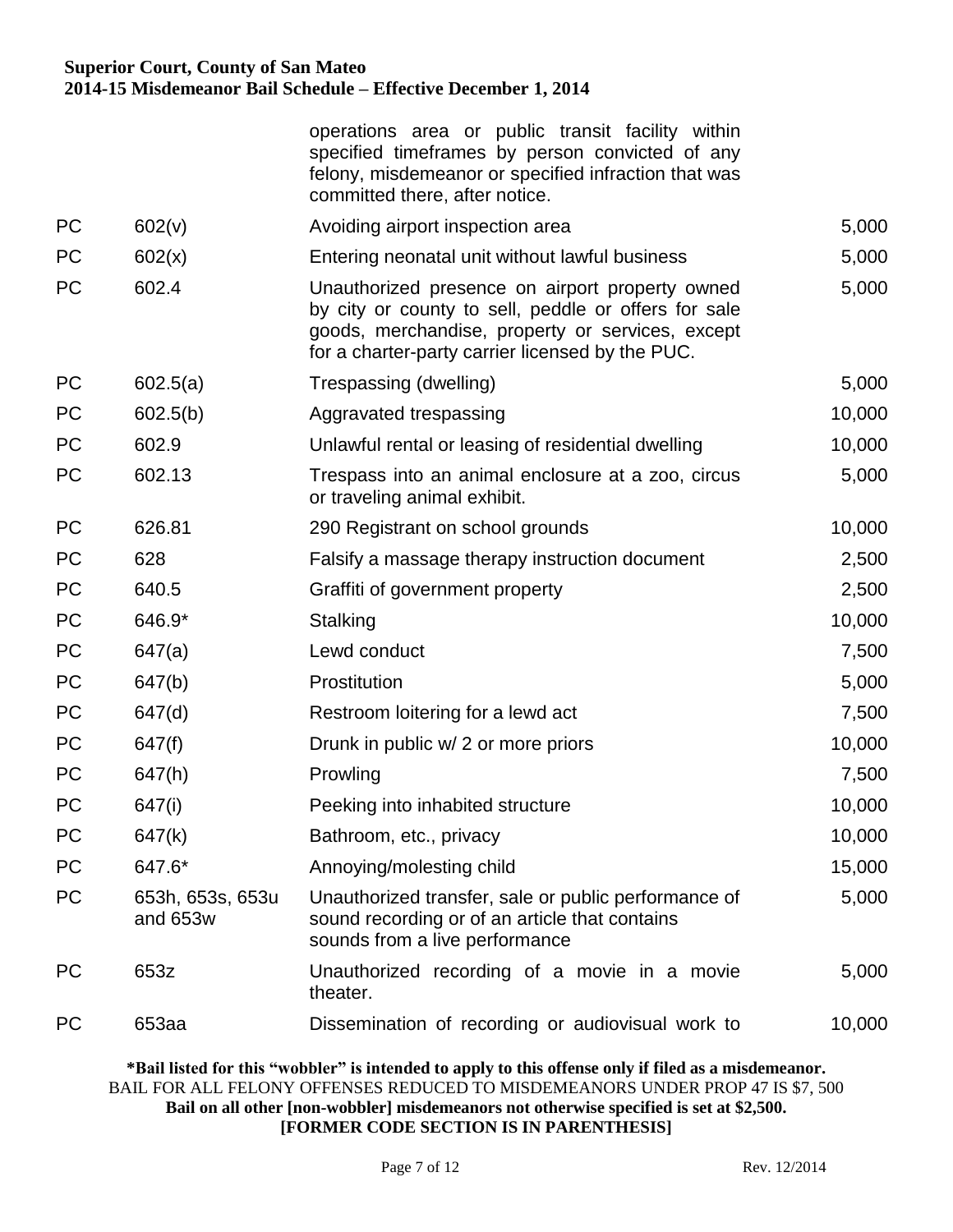operations area or public transit facility within specified timeframes by person convicted of any felony, misdemeanor or specified infraction that was committed there, after notice.

| PC        | 602(v)                       | Avoiding airport inspection area                                                                                                                                                                                | 5,000  |
|-----------|------------------------------|-----------------------------------------------------------------------------------------------------------------------------------------------------------------------------------------------------------------|--------|
| <b>PC</b> | 602(x)                       | Entering neonatal unit without lawful business                                                                                                                                                                  | 5,000  |
| <b>PC</b> | 602.4                        | Unauthorized presence on airport property owned<br>by city or county to sell, peddle or offers for sale<br>goods, merchandise, property or services, except<br>for a charter-party carrier licensed by the PUC. | 5,000  |
| <b>PC</b> | 602.5(a)                     | Trespassing (dwelling)                                                                                                                                                                                          | 5,000  |
| <b>PC</b> | 602.5(b)                     | Aggravated trespassing                                                                                                                                                                                          | 10,000 |
| <b>PC</b> | 602.9                        | Unlawful rental or leasing of residential dwelling                                                                                                                                                              | 10,000 |
| <b>PC</b> | 602.13                       | Trespass into an animal enclosure at a zoo, circus<br>or traveling animal exhibit.                                                                                                                              | 5,000  |
| <b>PC</b> | 626.81                       | 290 Registrant on school grounds                                                                                                                                                                                | 10,000 |
| <b>PC</b> | 628                          | Falsify a massage therapy instruction document                                                                                                                                                                  | 2,500  |
| <b>PC</b> | 640.5                        | Graffiti of government property                                                                                                                                                                                 | 2,500  |
| <b>PC</b> | 646.9*                       | Stalking                                                                                                                                                                                                        | 10,000 |
| <b>PC</b> | 647(a)                       | Lewd conduct                                                                                                                                                                                                    | 7,500  |
| <b>PC</b> | 647(b)                       | Prostitution                                                                                                                                                                                                    | 5,000  |
| <b>PC</b> | 647(d)                       | Restroom loitering for a lewd act                                                                                                                                                                               | 7,500  |
| <b>PC</b> | 647(f)                       | Drunk in public w/ 2 or more priors                                                                                                                                                                             | 10,000 |
| <b>PC</b> | 647(h)                       | Prowling                                                                                                                                                                                                        | 7,500  |
| <b>PC</b> | 647(i)                       | Peeking into inhabited structure                                                                                                                                                                                | 10,000 |
| <b>PC</b> | 647(k)                       | Bathroom, etc., privacy                                                                                                                                                                                         | 10,000 |
| <b>PC</b> | 647.6*                       | Annoying/molesting child                                                                                                                                                                                        | 15,000 |
| <b>PC</b> | 653h, 653s, 653u<br>and 653w | Unauthorized transfer, sale or public performance of<br>sound recording or of an article that contains<br>sounds from a live performance                                                                        | 5,000  |
| <b>PC</b> | 653z                         | Unauthorized recording of a movie in a movie<br>theater.                                                                                                                                                        | 5,000  |
| <b>PC</b> | 653aa                        | Dissemination of recording or audiovisual work to                                                                                                                                                               | 10,000 |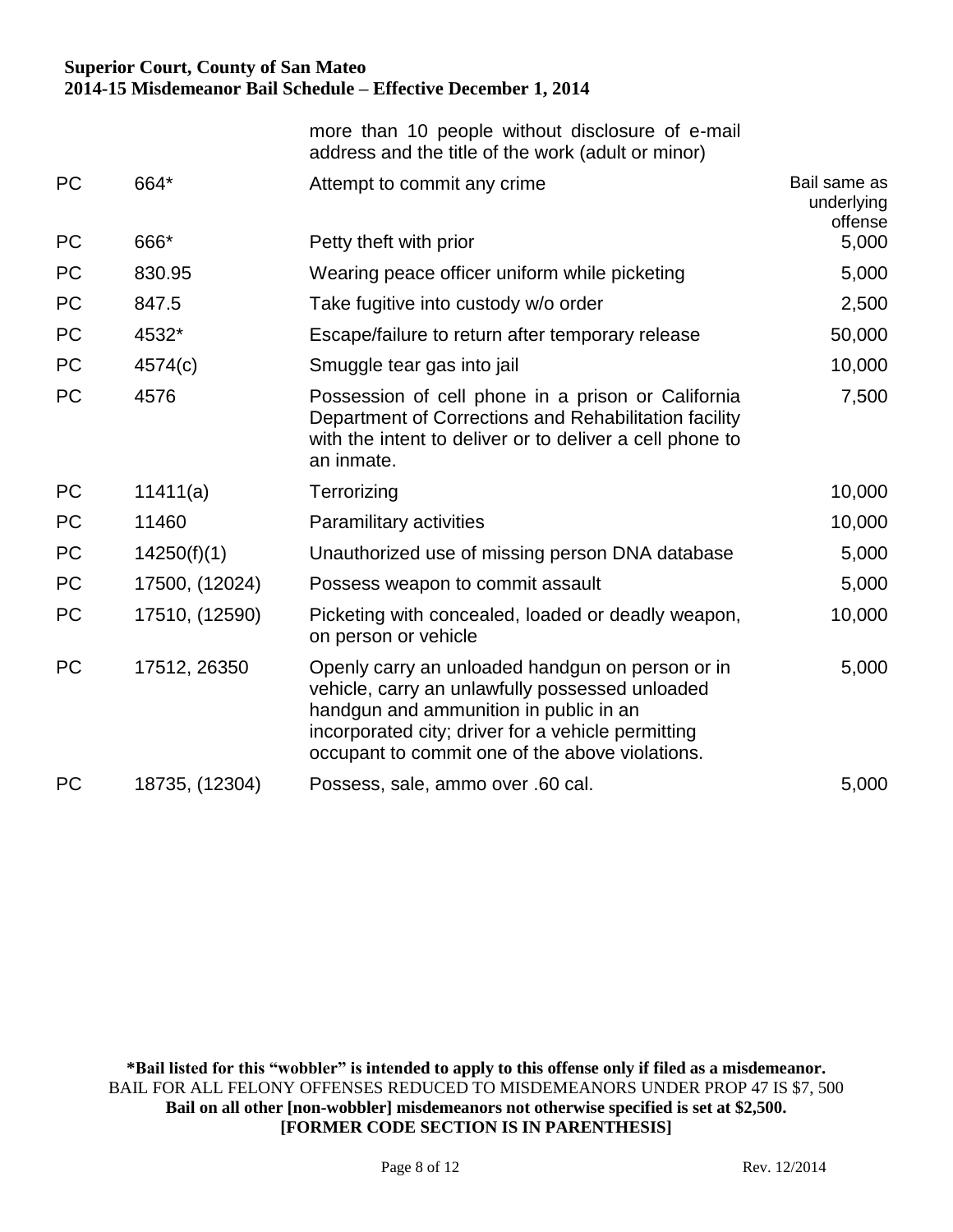|           |                | more than 10 people without disclosure of e-mail<br>address and the title of the work (adult or minor)                                                                                                                                                 |                                       |
|-----------|----------------|--------------------------------------------------------------------------------------------------------------------------------------------------------------------------------------------------------------------------------------------------------|---------------------------------------|
| <b>PC</b> | 664*           | Attempt to commit any crime                                                                                                                                                                                                                            | Bail same as<br>underlying<br>offense |
| <b>PC</b> | 666*           | Petty theft with prior                                                                                                                                                                                                                                 | 5,000                                 |
| <b>PC</b> | 830.95         | Wearing peace officer uniform while picketing                                                                                                                                                                                                          | 5,000                                 |
| PC        | 847.5          | Take fugitive into custody w/o order                                                                                                                                                                                                                   | 2,500                                 |
| <b>PC</b> | 4532*          | Escape/failure to return after temporary release                                                                                                                                                                                                       | 50,000                                |
| <b>PC</b> | 4574(c)        | Smuggle tear gas into jail                                                                                                                                                                                                                             | 10,000                                |
| <b>PC</b> | 4576           | Possession of cell phone in a prison or California<br>Department of Corrections and Rehabilitation facility<br>with the intent to deliver or to deliver a cell phone to<br>an inmate.                                                                  | 7,500                                 |
| <b>PC</b> | 11411(a)       | Terrorizing                                                                                                                                                                                                                                            | 10,000                                |
| <b>PC</b> | 11460          | Paramilitary activities                                                                                                                                                                                                                                | 10,000                                |
| <b>PC</b> | 14250(f)(1)    | Unauthorized use of missing person DNA database                                                                                                                                                                                                        | 5,000                                 |
| <b>PC</b> | 17500, (12024) | Possess weapon to commit assault                                                                                                                                                                                                                       | 5,000                                 |
| <b>PC</b> | 17510, (12590) | Picketing with concealed, loaded or deadly weapon,<br>on person or vehicle                                                                                                                                                                             | 10,000                                |
| <b>PC</b> | 17512, 26350   | Openly carry an unloaded handgun on person or in<br>vehicle, carry an unlawfully possessed unloaded<br>handgun and ammunition in public in an<br>incorporated city; driver for a vehicle permitting<br>occupant to commit one of the above violations. | 5,000                                 |
| <b>PC</b> | 18735, (12304) | Possess, sale, ammo over .60 cal.                                                                                                                                                                                                                      | 5,000                                 |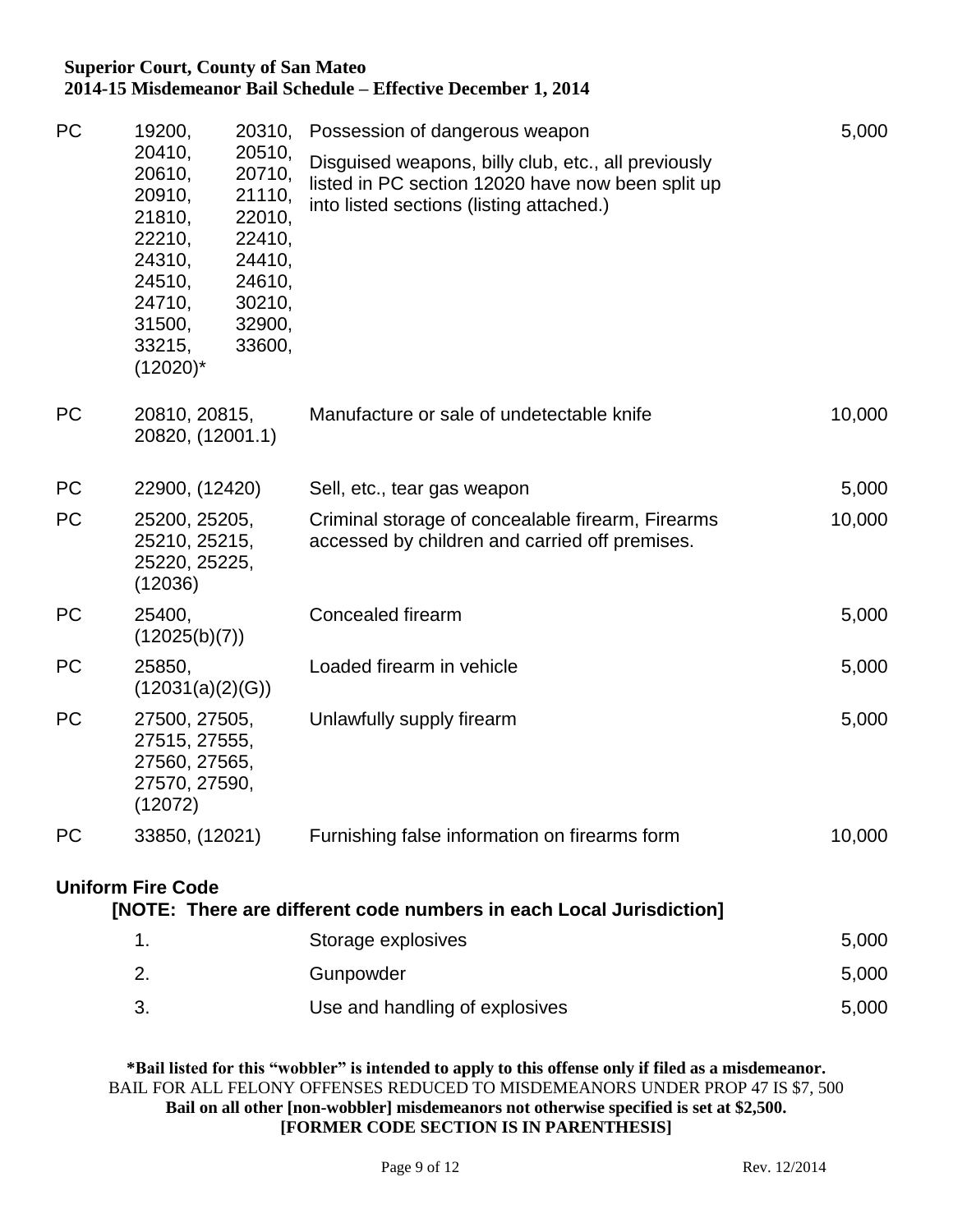| PC        | 19200,                                                                                                          | 20310,<br>Possession of dangerous weapon                                                         | 5,000                                                                                                                                                |        |
|-----------|-----------------------------------------------------------------------------------------------------------------|--------------------------------------------------------------------------------------------------|------------------------------------------------------------------------------------------------------------------------------------------------------|--------|
|           | 20410,<br>20610,<br>20910,<br>21810,<br>22210,<br>24310,<br>24510,<br>24710,<br>31500,<br>33215,<br>$(12020)^*$ | 20510,<br>20710,<br>21110,<br>22010,<br>22410,<br>24410,<br>24610,<br>30210,<br>32900,<br>33600, | Disguised weapons, billy club, etc., all previously<br>listed in PC section 12020 have now been split up<br>into listed sections (listing attached.) |        |
| <b>PC</b> | 20810, 20815,<br>20820, (12001.1)                                                                               |                                                                                                  | Manufacture or sale of undetectable knife                                                                                                            | 10,000 |
| PC        | 22900, (12420)                                                                                                  |                                                                                                  | Sell, etc., tear gas weapon                                                                                                                          | 5,000  |
| PC        | 25200, 25205,<br>25210, 25215,<br>25220, 25225,<br>(12036)                                                      |                                                                                                  | Criminal storage of concealable firearm, Firearms<br>accessed by children and carried off premises.                                                  | 10,000 |
| PC        | 25400,<br>(12025(b)(7))                                                                                         |                                                                                                  | Concealed firearm                                                                                                                                    | 5,000  |
| <b>PC</b> | 25850,<br>(12031(a)(2)(G))                                                                                      |                                                                                                  | Loaded firearm in vehicle                                                                                                                            | 5,000  |
| <b>PC</b> | 27500, 27505,<br>27515, 27555,<br>27560, 27565,<br>27570, 27590,<br>(12072)                                     |                                                                                                  | Unlawfully supply firearm                                                                                                                            | 5,000  |
| PC        | 33850, (12021)                                                                                                  |                                                                                                  | Furnishing false information on firearms form                                                                                                        | 10,000 |
|           | <b>Uniform Fire Code</b>                                                                                        |                                                                                                  | [NOTE: There are different code numbers in each Local Jurisdiction]                                                                                  |        |

1. Storage explosives 6.000 2. Gunpowder 5,000 3. Use and handling of explosives explosive the state of 5,000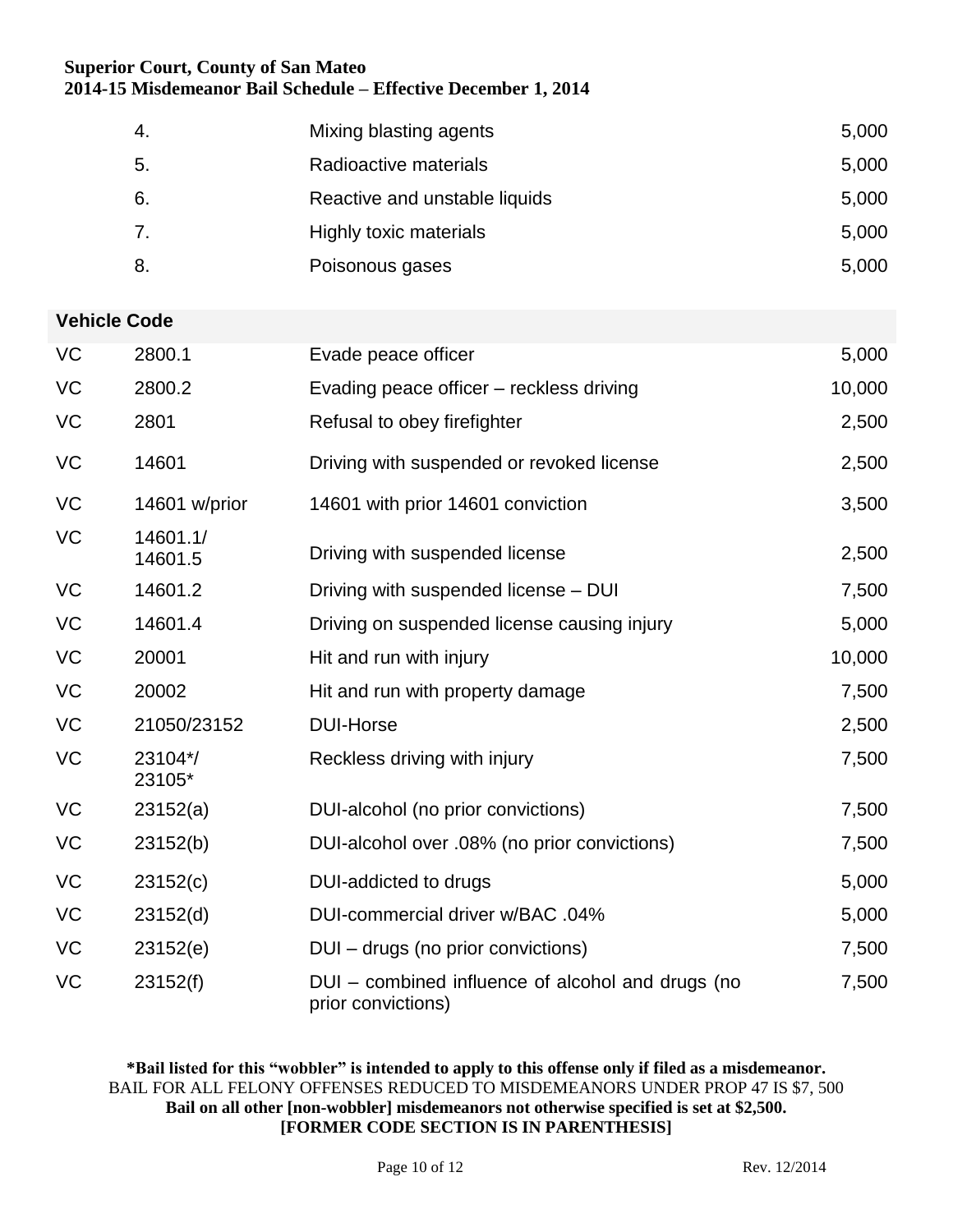| -4. | Mixing blasting agents        | 5,000 |
|-----|-------------------------------|-------|
| 5.  | Radioactive materials         | 5,000 |
| 6.  | Reactive and unstable liquids | 5,000 |
| 7.  | Highly toxic materials        | 5,000 |
| 8.  | Poisonous gases               | 5,000 |

### **Vehicle Code**

| <b>VC</b> | 2800.1              | Evade peace officer                                                     | 5,000  |
|-----------|---------------------|-------------------------------------------------------------------------|--------|
| VC        | 2800.2              | Evading peace officer - reckless driving                                | 10,000 |
| VC        | 2801                | Refusal to obey firefighter                                             | 2,500  |
| VC        | 14601               | Driving with suspended or revoked license                               | 2,500  |
| <b>VC</b> | 14601 w/prior       | 14601 with prior 14601 conviction                                       | 3,500  |
| <b>VC</b> | 14601.1/<br>14601.5 | Driving with suspended license                                          | 2,500  |
| <b>VC</b> | 14601.2             | Driving with suspended license – DUI                                    | 7,500  |
| VC        | 14601.4             | Driving on suspended license causing injury                             | 5,000  |
| <b>VC</b> | 20001               | Hit and run with injury                                                 | 10,000 |
| <b>VC</b> | 20002               | Hit and run with property damage                                        | 7,500  |
| <b>VC</b> | 21050/23152         | <b>DUI-Horse</b>                                                        | 2,500  |
| VC        | 23104*/<br>23105*   | Reckless driving with injury                                            | 7,500  |
| <b>VC</b> | 23152(a)            | DUI-alcohol (no prior convictions)                                      | 7,500  |
| VC        | 23152(b)            | DUI-alcohol over .08% (no prior convictions)                            | 7,500  |
| <b>VC</b> | 23152(c)            | DUI-addicted to drugs                                                   | 5,000  |
| <b>VC</b> | 23152(d)            | DUI-commercial driver w/BAC .04%                                        | 5,000  |
| VC        | 23152(e)            | DUI – drugs (no prior convictions)                                      | 7,500  |
| VC        | 23152(f)            | DUI – combined influence of alcohol and drugs (no<br>prior convictions) | 7,500  |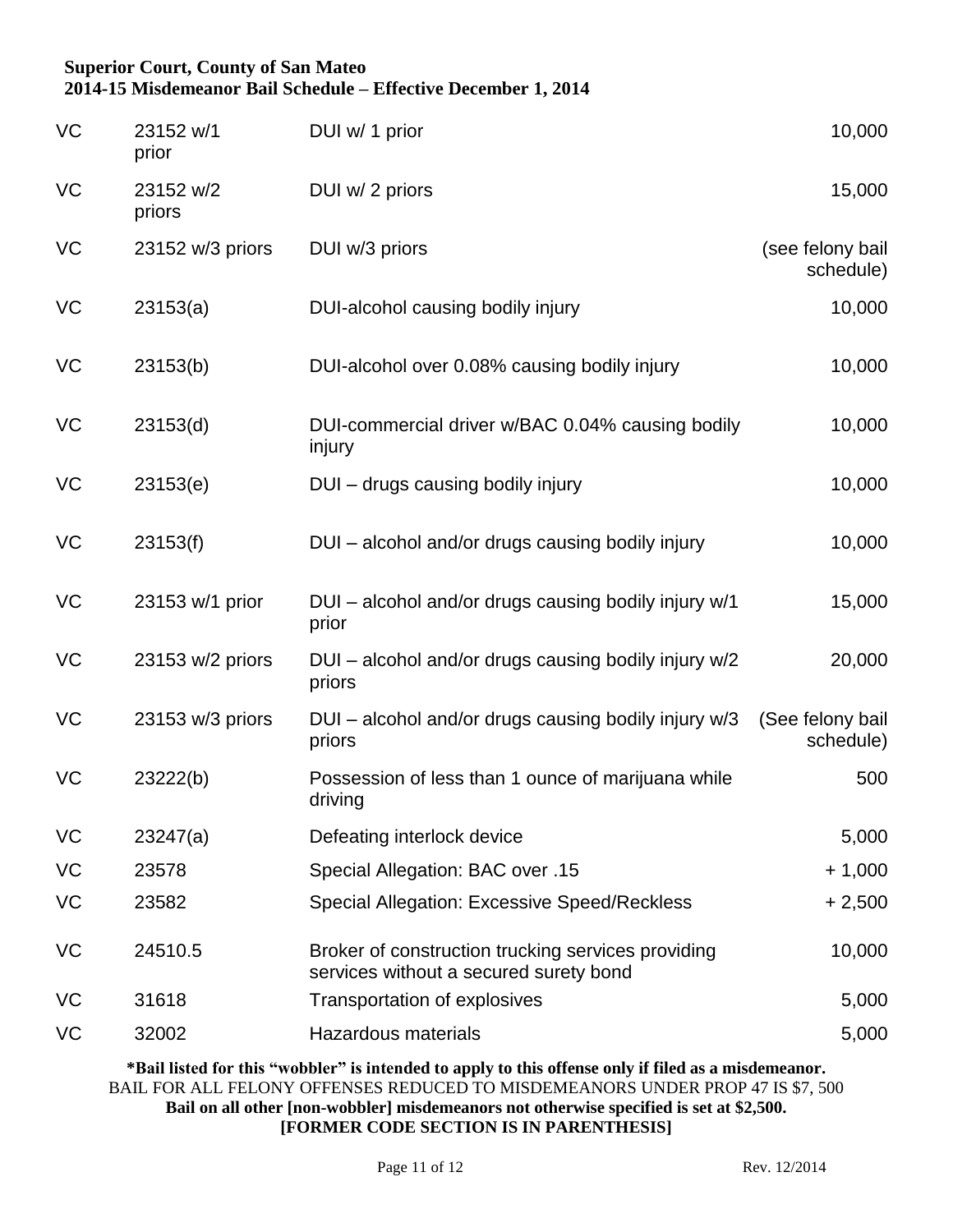| <b>VC</b> | 23152 w/1<br>prior  | DUI w/ 1 prior                                                                               | 10,000                        |
|-----------|---------------------|----------------------------------------------------------------------------------------------|-------------------------------|
| VC        | 23152 w/2<br>priors | DUI w/ 2 priors                                                                              | 15,000                        |
| VC        | 23152 w/3 priors    | DUI w/3 priors                                                                               | (see felony bail<br>schedule) |
| <b>VC</b> | 23153(a)            | DUI-alcohol causing bodily injury                                                            | 10,000                        |
| VC        | 23153(b)            | DUI-alcohol over 0.08% causing bodily injury                                                 | 10,000                        |
| VC        | 23153(d)            | DUI-commercial driver w/BAC 0.04% causing bodily<br>injury                                   | 10,000                        |
| <b>VC</b> | 23153(e)            | DUI - drugs causing bodily injury                                                            | 10,000                        |
| VC        | 23153(f)            | DUI - alcohol and/or drugs causing bodily injury                                             | 10,000                        |
| VC        | 23153 w/1 prior     | DUI - alcohol and/or drugs causing bodily injury w/1<br>prior                                | 15,000                        |
| VC        | 23153 w/2 priors    | DUI – alcohol and/or drugs causing bodily injury w/2<br>priors                               | 20,000                        |
| <b>VC</b> | 23153 w/3 priors    | DUI – alcohol and/or drugs causing bodily injury w/3<br>priors                               | (See felony bail<br>schedule) |
| <b>VC</b> | 23222(b)            | Possession of less than 1 ounce of marijuana while<br>driving                                | 500                           |
| VC        | 23247(a)            | Defeating interlock device                                                                   | 5,000                         |
| VC        | 23578               | Special Allegation: BAC over .15                                                             | $+1,000$                      |
| VC        | 23582               | <b>Special Allegation: Excessive Speed/Reckless</b>                                          | $+2,500$                      |
| VC        | 24510.5             | Broker of construction trucking services providing<br>services without a secured surety bond | 10,000                        |
| VC        | 31618               | Transportation of explosives                                                                 | 5,000                         |
| VC        | 32002               | Hazardous materials                                                                          | 5,000                         |